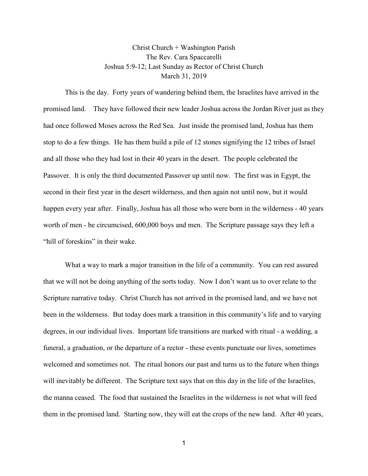Christ Church + Washington Parish The Rev. Cara Spaccarelli Joshua 5:9-12; Last Sunday as Rector of Christ Church March 31, 2019

This is the day. Forty years of wandering behind them, the Israelites have arrived in the promised land. They have followed their new leader Joshua across the Jordan River just as they had once followed Moses across the Red Sea. Just inside the promised land, Joshua has them stop to do a few things. He has them build a pile of 12 stones signifying the 12 tribes of Israel and all those who they had lost in their 40 years in the desert. The people celebrated the Passover. It is only the third documented Passover up until now. The first was in Egypt, the second in their first year in the desert wilderness, and then again not until now, but it would happen every year after. Finally, Joshua has all those who were born in the wilderness - 40 years worth of men - be circumcised, 600,000 boys and men. The Scripture passage says they left a "hill of foreskins" in their wake.

What a way to mark a major transition in the life of a community. You can rest assured that we will not be doing anything of the sorts today. Now I don't want us to over relate to the Scripture narrative today. Christ Church has not arrived in the promised land, and we have not been in the wilderness. But today does mark a transition in this community's life and to varying degrees, in our individual lives. Important life transitions are marked with ritual - a wedding, a funeral, a graduation, or the departure of a rector - these events punctuate our lives, sometimes welcomed and sometimes not. The ritual honors our past and turns us to the future when things will inevitably be different. The Scripture text says that on this day in the life of the Israelites, the manna ceased. The food that sustained the Israelites in the wilderness is not what will feed them in the promised land. Starting now, they will eat the crops of the new land. After 40 years,

1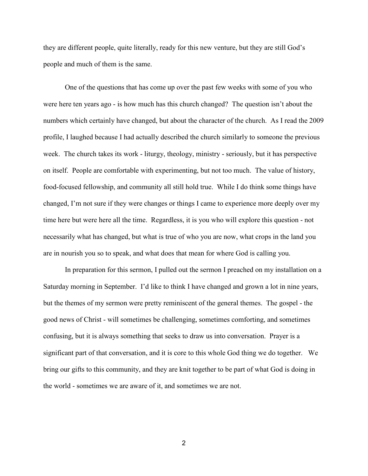they are different people, quite literally, ready for this new venture, but they are still God's people and much of them is the same.

One of the questions that has come up over the past few weeks with some of you who were here ten years ago - is how much has this church changed? The question isn't about the numbers which certainly have changed, but about the character of the church. As I read the 2009 profile, I laughed because I had actually described the church similarly to someone the previous week. The church takes its work - liturgy, theology, ministry - seriously, but it has perspective on itself. People are comfortable with experimenting, but not too much. The value of history, food-focused fellowship, and community all still hold true. While I do think some things have changed, I'm not sure if they were changes or things I came to experience more deeply over my time here but were here all the time. Regardless, it is you who will explore this question - not necessarily what has changed, but what is true of who you are now, what crops in the land you are in nourish you so to speak, and what does that mean for where God is calling you.

In preparation for this sermon, I pulled out the sermon I preached on my installation on a Saturday morning in September. I'd like to think I have changed and grown a lot in nine years, but the themes of my sermon were pretty reminiscent of the general themes. The gospel - the good news of Christ - will sometimes be challenging, sometimes comforting, and sometimes confusing, but it is always something that seeks to draw us into conversation. Prayer is a significant part of that conversation, and it is core to this whole God thing we do together. We bring our gifts to this community, and they are knit together to be part of what God is doing in the world - sometimes we are aware of it, and sometimes we are not.

2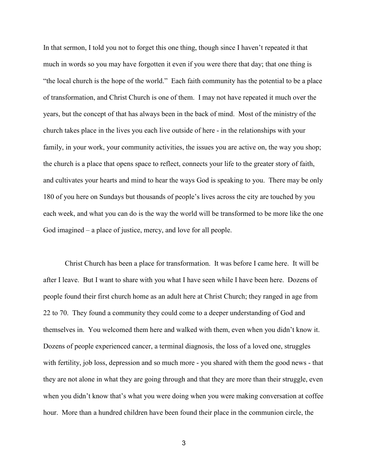In that sermon, I told you not to forget this one thing, though since I haven't repeated it that much in words so you may have forgotten it even if you were there that day; that one thing is "the local church is the hope of the world." Each faith community has the potential to be a place of transformation, and Christ Church is one of them. I may not have repeated it much over the years, but the concept of that has always been in the back of mind. Most of the ministry of the church takes place in the lives you each live outside of here - in the relationships with your family, in your work, your community activities, the issues you are active on, the way you shop; the church is a place that opens space to reflect, connects your life to the greater story of faith, and cultivates your hearts and mind to hear the ways God is speaking to you. There may be only 180 of you here on Sundays but thousands of people's lives across the city are touched by you each week, and what you can do is the way the world will be transformed to be more like the one God imagined – a place of justice, mercy, and love for all people.

Christ Church has been a place for transformation. It was before I came here. It will be after I leave. But I want to share with you what I have seen while I have been here. Dozens of people found their first church home as an adult here at Christ Church; they ranged in age from 22 to 70. They found a community they could come to a deeper understanding of God and themselves in. You welcomed them here and walked with them, even when you didn't know it. Dozens of people experienced cancer, a terminal diagnosis, the loss of a loved one, struggles with fertility, job loss, depression and so much more - you shared with them the good news - that they are not alone in what they are going through and that they are more than their struggle, even when you didn't know that's what you were doing when you were making conversation at coffee hour. More than a hundred children have been found their place in the communion circle, the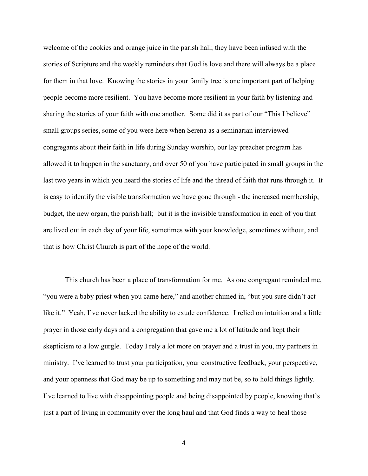welcome of the cookies and orange juice in the parish hall; they have been infused with the stories of Scripture and the weekly reminders that God is love and there will always be a place for them in that love. Knowing the stories in your family tree is one important part of helping people become more resilient. You have become more resilient in your faith by listening and sharing the stories of your faith with one another. Some did it as part of our "This I believe" small groups series, some of you were here when Serena as a seminarian interviewed congregants about their faith in life during Sunday worship, our lay preacher program has allowed it to happen in the sanctuary, and over 50 of you have participated in small groups in the last two years in which you heard the stories of life and the thread of faith that runs through it. It is easy to identify the visible transformation we have gone through - the increased membership, budget, the new organ, the parish hall; but it is the invisible transformation in each of you that are lived out in each day of your life, sometimes with your knowledge, sometimes without, and that is how Christ Church is part of the hope of the world.

This church has been a place of transformation for me. As one congregant reminded me, "you were a baby priest when you came here," and another chimed in, "but you sure didn't act like it." Yeah, I've never lacked the ability to exude confidence. I relied on intuition and a little prayer in those early days and a congregation that gave me a lot of latitude and kept their skepticism to a low gurgle. Today I rely a lot more on prayer and a trust in you, my partners in ministry. I've learned to trust your participation, your constructive feedback, your perspective, and your openness that God may be up to something and may not be, so to hold things lightly. I've learned to live with disappointing people and being disappointed by people, knowing that's just a part of living in community over the long haul and that God finds a way to heal those

4